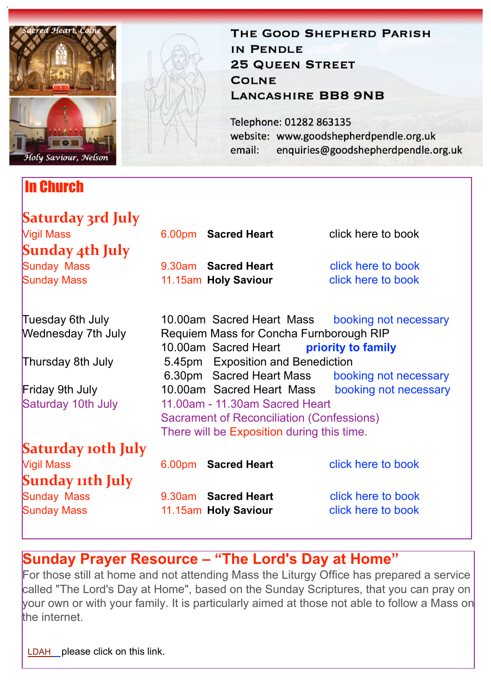

## In Church

## THE GOOD SHEPHERD PARISH IN PENDLE **25 QUEEN STREET COLNE LANCASHIRE BB8 9NB**

Telephone: 01282 863135 website: www.goodshepherdpendle.org.uk email: enquiries@goodshepherdpendle.org.uk

| Saturday 3rd July         |                                                                                    |                          |                                                 |
|---------------------------|------------------------------------------------------------------------------------|--------------------------|-------------------------------------------------|
| <b>Vigil Mass</b>         |                                                                                    | 6.00pm Sacred Heart      | click here to book                              |
| Sunday 4th July           |                                                                                    |                          |                                                 |
| <b>Sunday Mass</b>        |                                                                                    | 9.30am Sacred Heart      | click here to book                              |
| <b>Sunday Mass</b>        |                                                                                    | 11.15am Holy Saviour     | click here to book                              |
| Tuesday 6th July          |                                                                                    |                          | 10.00am Sacred Heart Mass booking not necessary |
| <b>Wednesday 7th July</b> | Requiem Mass for Concha Furnborough RIP<br>10.00am Sacred Heart priority to family |                          |                                                 |
| Thursday 8th July         | 5.45pm Exposition and Benediction                                                  |                          |                                                 |
|                           |                                                                                    | 6.30pm Sacred Heart Mass | booking not necessary                           |
| <b>Friday 9th July</b>    |                                                                                    |                          | 10.00am Sacred Heart Mass booking not necessary |
| Saturday 10th July        | 11.00am - 11.30am Sacred Heart                                                     |                          |                                                 |
|                           | Sacrament of Reconciliation (Confessions)                                          |                          |                                                 |
|                           | There will be Exposition during this time.                                         |                          |                                                 |
| Saturday 10th July        |                                                                                    |                          |                                                 |
| <b>Vigil Mass</b>         |                                                                                    | 6.00pm Sacred Heart      | click here to book                              |
| Sunday 11th July          |                                                                                    |                          |                                                 |
| Sunday Mass               |                                                                                    | 9.30am Sacred Heart      | click here to book                              |
| <b>Sunday Mass</b>        |                                                                                    | 11.15am Holy Saviour     | click here to book                              |
|                           |                                                                                    |                          |                                                 |

# **Sunday Prayer Resource – "The Lord's Day at Home"**

For those still at home and not attending Mass the Liturgy Office has prepared a service called "The Lord's Day at Home", based on the Sunday Scriptures, that you can pray on your own or with your family. It is particularly aimed at those not able to follow a Mass on the internet.

[LDAH](https://gbr01.safelinks.protection.outlook.com/?url=https://dioceseofsalford.us6.list-manage.com/track/click?u=76e219dab8653b775ba8aac4c&id=0fdd861fa2&e=5ce69633f0&data=04%7C01%7Cpeter.wilkinson@dioceseofsalford.org.uk%7C659c1e5a04d24ddebcd808d93b9fd594%7C699a61ae142a45a090c604b2f08de19b%7C0%7C0%7C637606379936865342%7CUnknown%7CTWFpbGZsb3d8eyJWIjoiMC4wLjAwMDAiLCJQIjoiV2luMzIiLCJBTiI6Ik1haWwiLCJXVCI6Mn0=%7C1000&sdata=BNTffEFP3ImhZo31K6hNeezOzzeurZlZ1ibMA0Uhn8M=&reserved=0%22%20%5Ct%20%22_blank) please click on this link.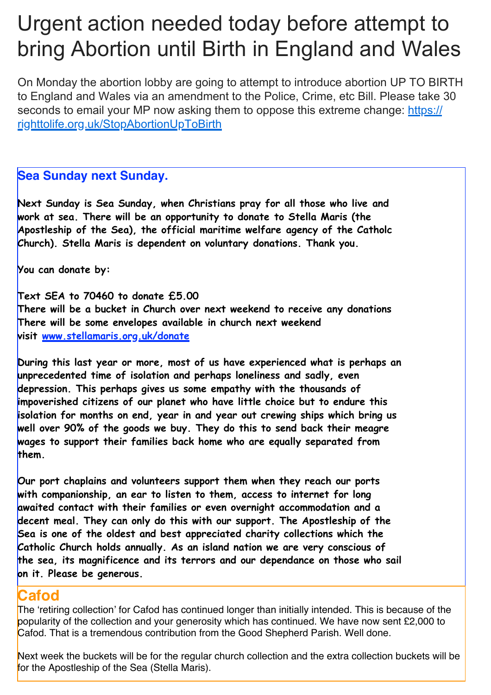# Urgent action needed today before attempt to bring Abortion until Birth in England and Wales

On Monday the abortion lobby are going to attempt to introduce abortion UP TO BIRTH to England and Wales via an amendment to the Police, Crime, etc Bill. Please take 30 seconds to email your MP now asking them to oppose this extreme change: [https://](https://gbr01.safelinks.protection.outlook.com/?url=https%3A%2F%2Frighttolife.org.uk%2FStopAbortionUpToBirth&data=04%7C01%7Cpeter.wilkinson%40dioceseofsalford.org.uk%7C1b47d5d5eeb942fcf8e608d93e0c3cf8%7C699a61ae142a45a090c604b2f08de19b%7C0%7C0%7C637609044543160840%7CUnknown%7CTWFpbGZsb3d8eyJWIjoiMC4wLjAwMDAiLCJQIjoiV2luMzIiLCJBTiI6Ik1haWwiLCJXVCI6Mn0%3D%7C1000&sdata=fNRU%2FasRmM9dQO8bLL8OrRvwV9dGHAhgL3G%2Be%2BY18TE%3D&reserved=0) [righttolife.org.uk/StopAbortionUpToBirth](https://gbr01.safelinks.protection.outlook.com/?url=https%3A%2F%2Frighttolife.org.uk%2FStopAbortionUpToBirth&data=04%7C01%7Cpeter.wilkinson%40dioceseofsalford.org.uk%7C1b47d5d5eeb942fcf8e608d93e0c3cf8%7C699a61ae142a45a090c604b2f08de19b%7C0%7C0%7C637609044543160840%7CUnknown%7CTWFpbGZsb3d8eyJWIjoiMC4wLjAwMDAiLCJQIjoiV2luMzIiLCJBTiI6Ik1haWwiLCJXVCI6Mn0%3D%7C1000&sdata=fNRU%2FasRmM9dQO8bLL8OrRvwV9dGHAhgL3G%2Be%2BY18TE%3D&reserved=0)

#### **Sea Sunday next Sunday.**

**Next Sunday is Sea Sunday, when Christians pray for all those who live and work at sea. There will be an opportunity to donate to Stella Maris (the Apostleship of the Sea), the official maritime welfare agency of the Catholc Church). Stella Maris is dependent on voluntary donations. Thank you.**

**You can donate by:**

**Text SEA to 70460 to donate £5.00 There will be a bucket in Church over next weekend to receive any donations There will be some envelopes available in church next weekend visit [www.stellamaris.org.uk/donate](https://gbr01.safelinks.protection.outlook.com/?url=http%3A%2F%2Fwww.stellamaris.org.uk%2Fdonate&data=04%7C01%7Cpeter.wilkinson%40dioceseofsalford.org.uk%7C14f1633fd645487628a708d93b983b45%7C699a61ae142a45a090c604b2f08de19b%7C0%7C0%7C637606347275343606%7CUnknown%7CTWFpbGZsb3d8eyJWIjoiMC4wLjAwMDAiLCJQIjoiV2luMzIiLCJBTiI6Ik1haWwiLCJXVCI6Mn0%3D%7C1000&sdata=q9BVqh1xe0%2Fe8CxnJ%2FU7ohZZqfiYyP3f4w39Unxqqjs%3D&reserved=0)**

**During this last year or more, most of us have experienced what is perhaps an unprecedented time of isolation and perhaps loneliness and sadly, even depression. This perhaps gives us some empathy with the thousands of impoverished citizens of our planet who have little choice but to endure this isolation for months on end, year in and year out crewing ships which bring us well over 90% of the goods we buy. They do this to send back their meagre wages to support their families back home who are equally separated from them.** 

**Our port chaplains and volunteers support them when they reach our ports with companionship, an ear to listen to them, access to internet for long awaited contact with their families or even overnight accommodation and a decent meal. They can only do this with our support. The Apostleship of the Sea is one of the oldest and best appreciated charity collections which the Catholic Church holds annually. As an island nation we are very conscious of the sea, its magnificence and its terrors and our dependance on those who sail on it. Please be generous.**

### **Cafod**

The 'retiring collection' for Cafod has continued longer than initially intended. This is because of the popularity of the collection and your generosity which has continued. We have now sent £2,000 to Cafod. That is a tremendous contribution from the Good Shepherd Parish. Well done.

Next week the buckets will be for the regular church collection and the extra collection buckets will be for the Apostleship of the Sea (Stella Maris).